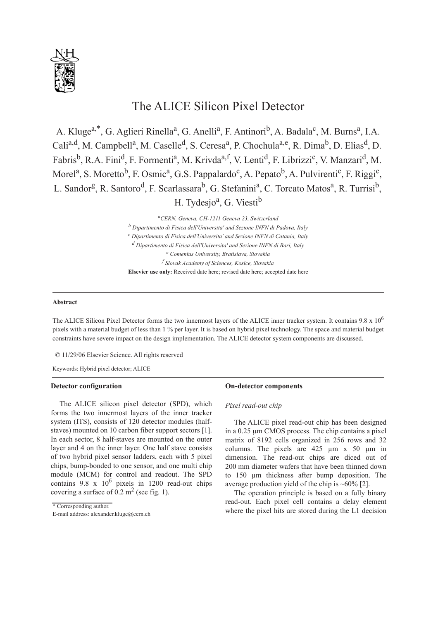

# The ALICE Silicon Pixel Detector

A. Kluge<sup>a,\*</sup>, G. Aglieri Rinella<sup>a</sup>, G. Anelli<sup>a</sup>, F. Antinori<sup>b</sup>, A. Badala<sup>c</sup>, M. Burns<sup>a</sup>, I.A. Cali<sup>a,d</sup>, M. Campbell<sup>a</sup>, M. Caselle<sup>d</sup>, S. Ceresa<sup>a</sup>, P. Chochula<sup>a,e</sup>, R. Dima<sup>b</sup>, D. Elias<sup>d</sup>, D. Fabris<sup>b</sup>, R.A. Fini<sup>d</sup>, F. Formenti<sup>a</sup>, M. Krivda<sup>a,f</sup>, V. Lenti<sup>d</sup>, F. Librizzi<sup>c</sup>, V. Manzari<sup>d</sup>, M. Morel<sup>a</sup>, S. Moretto<sup>b</sup>, F. Osmic<sup>a</sup>, G.S. Pappalardo<sup>c</sup>, A. Pepato<sup>b</sup>, A. Pulvirenti<sup>c</sup>, F. Riggi<sup>c</sup>, L. Sandor<sup>g</sup>, R. Santoro<sup>d</sup>, F. Scarlassara<sup>b</sup>, G. Stefanini<sup>a</sup>, C. Torcato Matos<sup>a</sup>, R. Turrisi<sup>b</sup>, H. Tydesjo<sup>a</sup>, G. Viesti<sup>b</sup>

> *a CERN, Geneva, CH-1211 Geneva 23, Switzerland <sup>b</sup> Dipartimento di Fisica dell'Universita' and Sezione INFN di Padova, Italy <sup>c</sup> Dipartimento di Fisica dell'Universita' and Sezione INFN di Catania, Italy <sup>d</sup> Dipartimento di Fisica dell'Universita' and Sezione INFN di Bari, Italy <sup>e</sup> Comenius University, Bratislava, Slovakia <sup>f</sup> Slovak Academy of Sciences, Kosice, Slovakia* **Elsevier use only:** Received date here; revised date here; accepted date here

# **Abstract**

The ALICE Silicon Pixel Detector forms the two innermost layers of the ALICE inner tracker system. It contains  $9.8 \times 10^6$ pixels with a material budget of less than 1 % per layer. It is based on hybrid pixel technology. The space and material budget constraints have severe impact on the design implementation. The ALICE detector system components are discussed.

© 11/29/06 Elsevier Science. All rights reserved

Keywords: Hybrid pixel detector; ALICE

### **Detector configuration**

The ALICE silicon pixel detector (SPD), which forms the two innermost layers of the inner tracker system (ITS), consists of 120 detector modules (halfstaves) mounted on 10 carbon fiber support sectors [1]. In each sector, 8 half-staves are mounted on the outer layer and 4 on the inner layer. One half stave consists of two hybrid pixel sensor ladders, each with 5 pixel chips, bump-bonded to one sensor, and one multi chip module (MCM) for control and readout. The SPD contains 9.8 x 10<sup>6</sup> pixels in 1200 read-out chips covering a surface of  $0.2 \text{ m}^2$  (see fig. 1).

E-mail address: alexander.kluge@cern.ch

#### **On-detector components**

#### *Pixel read-out chip*

The ALICE pixel read-out chip has been designed in a 0.25 µm CMOS process. The chip contains a pixel matrix of 8192 cells organized in 256 rows and 32 columns. The pixels are 425 µm x 50 µm in dimension. The read-out chips are diced out of 200 mm diameter wafers that have been thinned down to 150 µm thickness after bump deposition. The average production yield of the chip is  $~60\%$  [2].

The operation principle is based on a fully binary read-out. Each pixel cell contains a delay element Example the pixel hits are stored during the L1 decision<br>Email address class at the contract of the pixel hits are stored during the L1 decision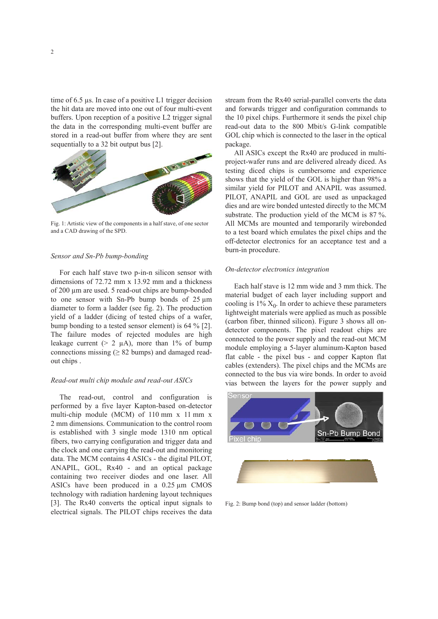time of 6.5 µs. In case of a positive L1 trigger decision the hit data are moved into one out of four multi-event buffers. Upon reception of a positive L2 trigger signal the data in the corresponding multi-event buffer are stored in a read-out buffer from where they are sent sequentially to a 32 bit output bus [2].



Fig. 1: Artistic view of the components in a half stave, of one sector and a CAD drawing of the SPD.

# *Sensor and Sn-Pb bump-bonding*

For each half stave two p-in-n silicon sensor with dimensions of 72.72 mm x 13.92 mm and a thickness of 200 µm are used. 5 read-out chips are bump-bonded to one sensor with Sn-Pb bump bonds of 25 µm diameter to form a ladder (see fig. 2). The production yield of a ladder (dicing of tested chips of a wafer, bump bonding to a tested sensor element) is 64 % [2]. The failure modes of rejected modules are high leakage current ( $> 2 \mu$ A), more than 1% of bump connections missing ( $\geq 82$  bumps) and damaged readout chips .

#### *Read-out multi chip module and read-out ASICs*

The read-out, control and configuration is performed by a five layer Kapton-based on-detector multi-chip module (MCM) of 110 mm x 11 mm x 2 mm dimensions. Communication to the control room is established with 3 single mode 1310 nm optical fibers, two carrying configuration and trigger data and the clock and one carrying the read-out and monitoring data. The MCM contains 4 ASICs - the digital PILOT, ANAPIL, GOL, Rx40 - and an optical package containing two receiver diodes and one laser. All ASICs have been produced in a 0.25 µm CMOS technology with radiation hardening layout techniques [3]. The Rx40 converts the optical input signals to electrical signals. The PILOT chips receives the data

stream from the Rx40 serial-parallel converts the data and forwards trigger and configuration commands to the 10 pixel chips. Furthermore it sends the pixel chip read-out data to the 800 Mbit/s G-link compatible GOL chip which is connected to the laser in the optical package.

All ASICs except the Rx40 are produced in multiproject-wafer runs and are delivered already diced. As testing diced chips is cumbersome and experience shows that the yield of the GOL is higher than 98% a similar yield for PILOT and ANAPIL was assumed. PILOT, ANAPIL and GOL are used as unpackaged dies and are wire bonded untested directly to the MCM substrate. The production yield of the MCM is 87 %. All MCMs are mounted and temporarily wirebonded to a test board which emulates the pixel chips and the off-detector electronics for an acceptance test and a burn-in procedure.

#### *On-detector electronics integration*

Each half stave is 12 mm wide and 3 mm thick. The material budget of each layer including support and cooling is  $1\%$   $X_0$ . In order to achieve these parameters lightweight materials were applied as much as possible (carbon fiber, thinned silicon). Figure 3 shows all ondetector components. The pixel readout chips are connected to the power supply and the read-out MCM module employing a 5-layer aluminum-Kapton based flat cable - the pixel bus - and copper Kapton flat cables (extenders). The pixel chips and the MCMs are connected to the bus via wire bonds. In order to avoid vias between the layers for the power supply and



Fig. 2: Bump bond (top) and sensor ladder (bottom)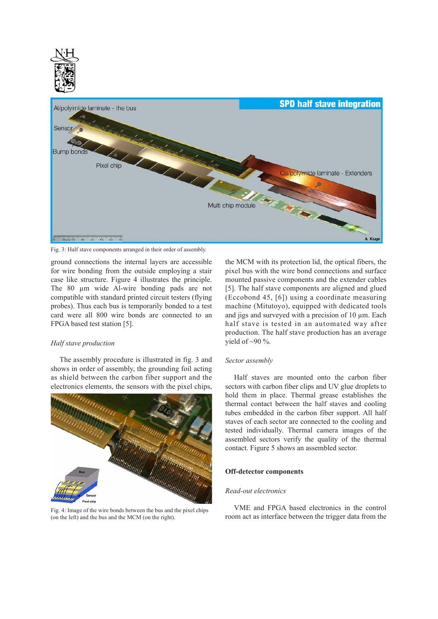

Fig. 3: Half stave components arranged in their order of assembly.

ground connections the internal layers are accessible for wire bonding from the outside employing a stair case like structure. Figure 4 illustrates the principle. The 80 um wide Al-wire bonding pads are not compatible with standard printed circuit testers (flying probes). Thus each bus is temporarily bonded to a test card were all 800 wire bonds are connected to an FPGA based test station [5].

## *Half stave production*

The assembly procedure is illustrated in fig. 3 and shows in order of assembly, the grounding foil acting as shield between the carbon fiber support and the electronics elements, the sensors with the pixel chips,



Fig. 4: Image of the wire bonds between the bus and the pixel chips (on the left) and the bus and the MCM (on the right).

the MCM with its protection lid, the optical fibers, the pixel bus with the wire bond connections and surface mounted passive components and the extender cables [5]. The half stave components are aligned and glued (Eccobond 45, [6]) using a coordinate measuring machine (Mitutoyo), equipped with dedicated tools and jigs and surveyed with a precision of 10  $\mu$ m. Each half stave is tested in an automated way after production. The half stave production has an average yield of  $\sim$ 90 %.

#### *Sector assembly*

Half staves are mounted onto the carbon fiber sectors with carbon fiber clips and UV glue droplets to hold them in place. Thermal grease establishes the thermal contact between the half staves and cooling tubes embedded in the carbon fiber support. All half staves of each sector are connected to the cooling and tested individually. Thermal camera images of the assembled sectors verify the quality of the thermal contact. Figure 5 shows an assembled sector.

#### **Off-detector components**

#### *Read-out electronics*

VME and FPGA based electronics in the control room act as interface between the trigger data from the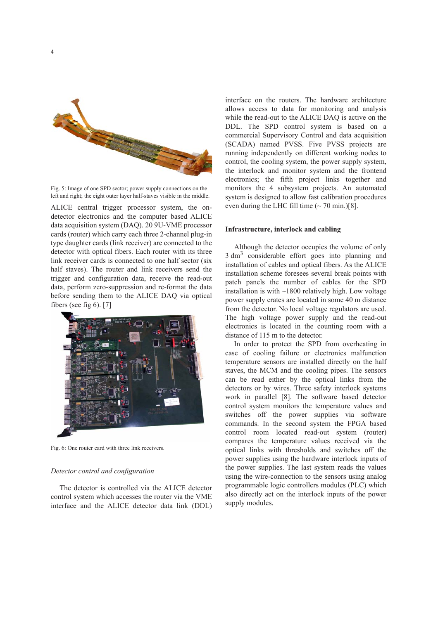

4

Fig. 5: Image of one SPD sector; power supply connections on the left and right; the eight outer layer half-staves visible in the middle.

ALICE central trigger processor system, the ondetector electronics and the computer based ALICE data acquisition system (DAQ). 20 9U-VME processor cards (router) which carry each three 2-channel plug-in type daughter cards (link receiver) are connected to the detector with optical fibers. Each router with its three link receiver cards is connected to one half sector (six half staves). The router and link receivers send the trigger and configuration data, receive the read-out data, perform zero-suppression and re-format the data before sending them to the ALICE DAQ via optical fibers (see fig 6). [7]



Fig. 6: One router card with three link receivers.

# *Detector control and configuration*

The detector is controlled via the ALICE detector control system which accesses the router via the VME interface and the ALICE detector data link (DDL) interface on the routers. The hardware architecture allows access to data for monitoring and analysis while the read-out to the ALICE DAQ is active on the DDL. The SPD control system is based on a commercial Supervisory Control and data acquisition (SCADA) named PVSS. Five PVSS projects are running independently on different working nodes to control, the cooling system, the power supply system, the interlock and monitor system and the frontend electronics; the fifth project links together and monitors the 4 subsystem projects. An automated system is designed to allow fast calibration procedures even during the LHC fill time  $({\sim} 70 \text{ min.})[8]$ .

# **Infrastructure, interlock and cabling**

Although the detector occupies the volume of only 3 dm<sup>3</sup> considerable effort goes into planning and installation of cables and optical fibers. As the ALICE installation scheme foresees several break points with patch panels the number of cables for the SPD installation is with ~1800 relatively high. Low voltage power supply crates are located in some 40 m distance from the detector. No local voltage regulators are used. The high voltage power supply and the read-out electronics is located in the counting room with a distance of 115 m to the detector.

In order to protect the SPD from overheating in case of cooling failure or electronics malfunction temperature sensors are installed directly on the half staves, the MCM and the cooling pipes. The sensors can be read either by the optical links from the detectors or by wires. Three safety interlock systems work in parallel [8]. The software based detector control system monitors the temperature values and switches off the power supplies via software commands. In the second system the FPGA based control room located read-out system (router) compares the temperature values received via the optical links with thresholds and switches off the power supplies using the hardware interlock inputs of the power supplies. The last system reads the values using the wire-connection to the sensors using analog programmable logic controllers modules (PLC) which also directly act on the interlock inputs of the power supply modules.